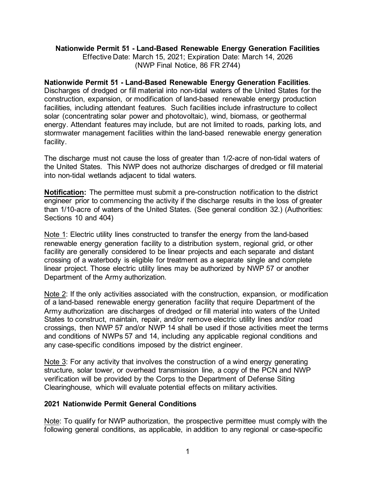#### **Nationwide Permit 51 - Land-Based Renewable Energy Generation Facilities**

Effective Date: March 15, 2021; Expiration Date: March 14, 2026 (NWP Final Notice, 86 FR 2744)

**Nationwide Permit 51 - Land-Based Renewable Energy Generation Facilities**. Discharges of dredged or fill material into non-tidal waters of the United States for the construction, expansion, or modification of land-based renewable energy production facilities, including attendant features. Such facilities include infrastructure to collect solar (concentrating solar power and photovoltaic), wind, biomass, or geothermal energy. Attendant features may include, but are not limited to roads, parking lots, and stormwater management facilities within the land-based renewable energy generation facility.

The discharge must not cause the loss of greater than 1/2-acre of non-tidal waters of the United States. This NWP does not authorize discharges of dredged or fill material into non-tidal wetlands adjacent to tidal waters.

**Notification:** The permittee must submit a pre-construction notification to the district engineer prior to commencing the activity if the discharge results in the loss of greater than 1/10-acre of waters of the United States. (See general condition 32.) (Authorities: Sections 10 and 404)

Note 1: Electric utility lines constructed to transfer the energy from the land-based renewable energy generation facility to a distribution system, regional grid, or other facility are generally considered to be linear projects and each separate and distant crossing of a waterbody is eligible for treatment as a separate single and complete linear project. Those electric utility lines may be authorized by NWP 57 or another Department of the Army authorization.

Note 2: If the only activities associated with the construction, expansion, or modification of a land-based renewable energy generation facility that require Department of the Army authorization are discharges of dredged or fill material into waters of the United States to construct, maintain, repair, and/or remove electric utility lines and/or road crossings, then NWP 57 and/or NWP 14 shall be used if those activities meet the terms and conditions of NWPs 57 and 14, including any applicable regional conditions and any case-specific conditions imposed by the district engineer.

Note 3: For any activity that involves the construction of a wind energy generating structure, solar tower, or overhead transmission line, a copy of the PCN and NWP verification will be provided by the Corps to the Department of Defense Siting Clearinghouse, which will evaluate potential effects on military activities.

#### **2021 Nationwide Permit General Conditions**

Note: To qualify for NWP authorization, the prospective permittee must comply with the following general conditions, as applicable, in addition to any regional or case-specific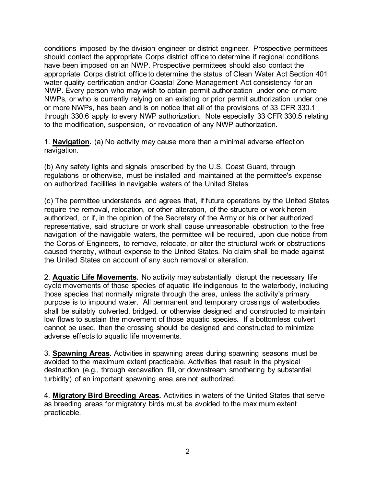conditions imposed by the division engineer or district engineer. Prospective permittees should contact the appropriate Corps district office to determine if regional conditions have been imposed on an NWP. Prospective permittees should also contact the appropriate Corps district office to determine the status of Clean Water Act Section 401 water quality certification and/or Coastal Zone Management Act consistency for an NWP. Every person who may wish to obtain permit authorization under one or more NWPs, or who is currently relying on an existing or prior permit authorization under one or more NWPs, has been and is on notice that all of the provisions of 33 CFR 330.1 through 330.6 apply to every NWP authorization. Note especially 33 CFR 330.5 relating to the modification, suspension, or revocation of any NWP authorization.

1. **Navigation.** (a) No activity may cause more than a minimal adverse effect on navigation.

(b) Any safety lights and signals prescribed by the U.S. Coast Guard, through regulations or otherwise, must be installed and maintained at the permittee's expense on authorized facilities in navigable waters of the United States.

(c) The permittee understands and agrees that, if future operations by the United States require the removal, relocation, or other alteration, of the structure or work herein authorized, or if, in the opinion of the Secretary of the Army or his or her authorized representative, said structure or work shall cause unreasonable obstruction to the free navigation of the navigable waters, the permittee will be required, upon due notice from the Corps of Engineers, to remove, relocate, or alter the structural work or obstructions caused thereby, without expense to the United States. No claim shall be made against the United States on account of any such removal or alteration.

2. **Aquatic Life Movements.** No activity may substantially disrupt the necessary life cycle movements of those species of aquatic life indigenous to the waterbody, including those species that normally migrate through the area, unless the activity's primary purpose is to impound water. All permanent and temporary crossings of waterbodies shall be suitably culverted, bridged, or otherwise designed and constructed to maintain low flows to sustain the movement of those aquatic species. If a bottomless culvert cannot be used, then the crossing should be designed and constructed to minimize adverse effects to aquatic life movements.

3. **Spawning Areas.** Activities in spawning areas during spawning seasons must be avoided to the maximum extent practicable. Activities that result in the physical destruction (e.g., through excavation, fill, or downstream smothering by substantial turbidity) of an important spawning area are not authorized.

4. **Migratory Bird Breeding Areas.** Activities in waters of the United States that serve as breeding areas for migratory birds must be avoided to the maximum extent practicable.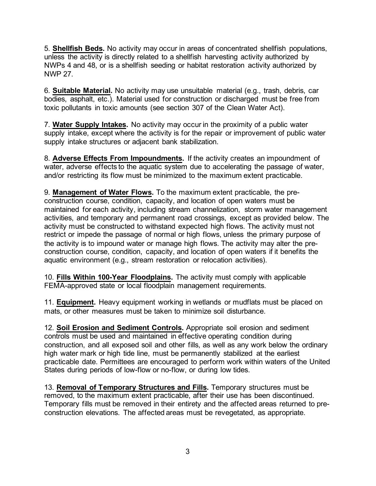5. **Shellfish Beds.** No activity may occur in areas of concentrated shellfish populations, unless the activity is directly related to a shellfish harvesting activity authorized by NWPs 4 and 48, or is a shellfish seeding or habitat restoration activity authorized by NWP 27.

6. **Suitable Material.** No activity may use unsuitable material (e.g., trash, debris, car bodies, asphalt, etc.). Material used for construction or discharged must be free from toxic pollutants in toxic amounts (see section 307 of the Clean Water Act).

7. **Water Supply Intakes.** No activity may occur in the proximity of a public water supply intake, except where the activity is for the repair or improvement of public water supply intake structures or adjacent bank stabilization.

8. **Adverse Effects From Impoundments.** If the activity creates an impoundment of water, adverse effects to the aquatic system due to accelerating the passage of water, and/or restricting its flow must be minimized to the maximum extent practicable.

9. **Management of Water Flows.** To the maximum extent practicable, the preconstruction course, condition, capacity, and location of open waters must be maintained for each activity, including stream channelization, storm water management activities, and temporary and permanent road crossings, except as provided below. The activity must be constructed to withstand expected high flows. The activity must not restrict or impede the passage of normal or high flows, unless the primary purpose of the activity is to impound water or manage high flows. The activity may alter the preconstruction course, condition, capacity, and location of open waters if it benefits the aquatic environment (e.g., stream restoration or relocation activities).

10. **Fills Within 100-Year Floodplains.** The activity must comply with applicable FEMA-approved state or local floodplain management requirements.

11. **Equipment.** Heavy equipment working in wetlands or mudflats must be placed on mats, or other measures must be taken to minimize soil disturbance.

12. **Soil Erosion and Sediment Controls.** Appropriate soil erosion and sediment controls must be used and maintained in effective operating condition during construction, and all exposed soil and other fills, as well as any work below the ordinary high water mark or high tide line, must be permanently stabilized at the earliest practicable date. Permittees are encouraged to perform work within waters of the United States during periods of low-flow or no-flow, or during low tides.

13. **Removal of Temporary Structures and Fills.** Temporary structures must be removed, to the maximum extent practicable, after their use has been discontinued. Temporary fills must be removed in their entirety and the affected areas returned to preconstruction elevations. The affected areas must be revegetated, as appropriate.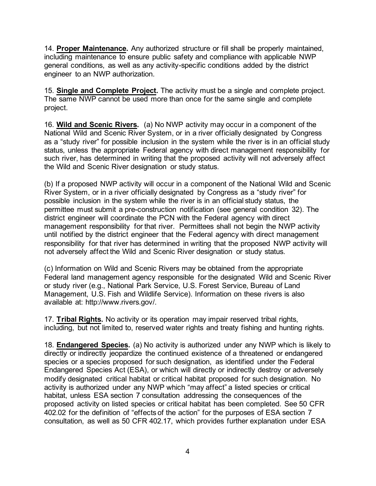14. **Proper Maintenance.** Any authorized structure or fill shall be properly maintained, including maintenance to ensure public safety and compliance with applicable NWP general conditions, as well as any activity-specific conditions added by the district engineer to an NWP authorization.

15. **Single and Complete Project.** The activity must be a single and complete project. The same NWP cannot be used more than once for the same single and complete project.

16. **Wild and Scenic Rivers.** (a) No NWP activity may occur in a component of the National Wild and Scenic River System, or in a river officially designated by Congress as a "study river" for possible inclusion in the system while the river is in an official study status, unless the appropriate Federal agency with direct management responsibility for such river, has determined in writing that the proposed activity will not adversely affect the Wild and Scenic River designation or study status.

(b) If a proposed NWP activity will occur in a component of the National Wild and Scenic River System, or in a river officially designated by Congress as a "study river" for possible inclusion in the system while the river is in an official study status, the permittee must submit a pre-construction notification (see general condition 32). The district engineer will coordinate the PCN with the Federal agency with direct management responsibility for that river. Permittees shall not begin the NWP activity until notified by the district engineer that the Federal agency with direct management responsibility for that river has determined in writing that the proposed NWP activity will not adversely affect the Wild and Scenic River designation or study status.

(c) Information on Wild and Scenic Rivers may be obtained from the appropriate Federal land management agency responsible for the designated Wild and Scenic River or study river (e.g., National Park Service, U.S. Forest Service, Bureau of Land Management, U.S. Fish and Wildlife Service). Information on these rivers is also available at: http://www.rivers.gov/.

17. **Tribal Rights.** No activity or its operation may impair reserved tribal rights, including, but not limited to, reserved water rights and treaty fishing and hunting rights.

18. **Endangered Species.** (a) No activity is authorized under any NWP which is likely to directly or indirectly jeopardize the continued existence of a threatened or endangered species or a species proposed for such designation, as identified under the Federal Endangered Species Act (ESA), or which will directly or indirectly destroy or adversely modify designated critical habitat or critical habitat proposed for such designation. No activity is authorized under any NWP which "may affect" a listed species or critical habitat, unless ESA section 7 consultation addressing the consequences of the proposed activity on listed species or critical habitat has been completed. See 50 CFR 402.02 for the definition of "effects of the action" for the purposes of ESA section 7 consultation, as well as 50 CFR 402.17, which provides further explanation under ESA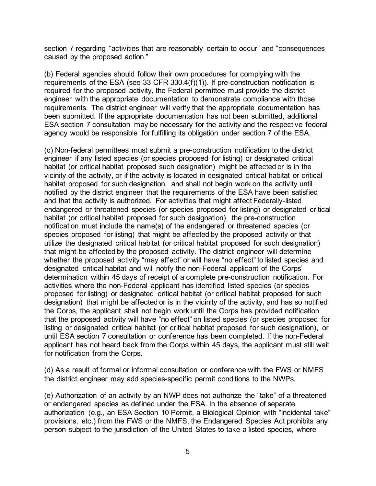section 7 regarding "activities that are reasonably certain to occur" and "consequences caused by the proposed action."

(b) Federal agencies should follow their own procedures for complying with the requirements of the ESA (see 33 CFR 330.4(f)(1)). If pre-construction notification is required for the proposed activity, the Federal permittee must provide the district engineer with the appropriate documentation to demonstrate compliance with those requirements. The district engineer will verify that the appropriate documentation has been submitted. If the appropriate documentation has not been submitted, additional ESA section 7 consultation may be necessary for the activity and the respective federal agency would be responsible for fulfilling its obligation under section 7 of the ESA.

(c) Non-federal permittees must submit a pre-construction notification to the district engineer if any listed species (or species proposed for listing) or designated critical habitat (or critical habitat proposed such designation) might be affected or is in the vicinity of the activity, or if the activity is located in designated critical habitat or critical habitat proposed for such designation, and shall not begin work on the activity until notified by the district engineer that the requirements of the ESA have been satisfied and that the activity is authorized. For activities that might affect Federally-listed endangered or threatened species (or species proposed for listing) or designated critical habitat (or critical habitat proposed for such designation), the pre-construction notification must include the name(s) of the endangered or threatened species (or species proposed for listing) that might be affected by the proposed activity or that utilize the designated critical habitat (or critical habitat proposed for such designation) that might be affected by the proposed activity. The district engineer will determine whether the proposed activity "may affect" or will have "no effect" to listed species and designated critical habitat and will notify the non-Federal applicant of the Corps' determination within 45 days of receipt of a complete pre-construction notification. For activities where the non-Federal applicant has identified listed species (or species proposed for listing) or designated critical habitat (or critical habitat proposed for such designation) that might be affected or is in the vicinity of the activity, and has so notified the Corps, the applicant shall not begin work until the Corps has provided notification that the proposed activity will have "no effect" on listed species (or species proposed for listing or designated critical habitat (or critical habitat proposed for such designation), or until ESA section 7 consultation or conference has been completed. If the non-Federal applicant has not heard back from the Corps within 45 days, the applicant must still wait for notification from the Corps.

(d) As a result of formal or informal consultation or conference with the FWS or NMFS the district engineer may add species-specific permit conditions to the NWPs.

(e) Authorization of an activity by an NWP does not authorize the "take" of a threatened or endangered species as defined under the ESA. In the absence of separate authorization (e.g., an ESA Section 10 Permit, a Biological Opinion with "incidental take" provisions, etc.) from the FWS or the NMFS, the Endangered Species Act prohibits any person subject to the jurisdiction of the United States to take a listed species, where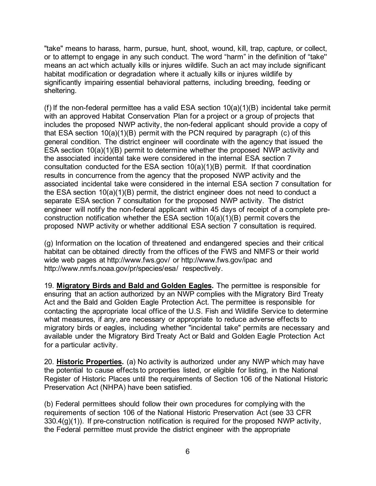"take" means to harass, harm, pursue, hunt, shoot, wound, kill, trap, capture, or collect, or to attempt to engage in any such conduct. The word "harm" in the definition of "take'' means an act which actually kills or injures wildlife. Such an act may include significant habitat modification or degradation where it actually kills or injures wildlife by significantly impairing essential behavioral patterns, including breeding, feeding or sheltering.

(f) If the non-federal permittee has a valid ESA section 10(a)(1)(B) incidental take permit with an approved Habitat Conservation Plan for a project or a group of projects that includes the proposed NWP activity, the non-federal applicant should provide a copy of that ESA section 10(a)(1)(B) permit with the PCN required by paragraph (c) of this general condition. The district engineer will coordinate with the agency that issued the ESA section 10(a)(1)(B) permit to determine whether the proposed NWP activity and the associated incidental take were considered in the internal ESA section 7 consultation conducted for the ESA section 10(a)(1)(B) permit. If that coordination results in concurrence from the agency that the proposed NWP activity and the associated incidental take were considered in the internal ESA section 7 consultation for the ESA section 10(a)(1)(B) permit, the district engineer does not need to conduct a separate ESA section 7 consultation for the proposed NWP activity. The district engineer will notify the non-federal applicant within 45 days of receipt of a complete preconstruction notification whether the ESA section 10(a)(1)(B) permit covers the proposed NWP activity or whether additional ESA section 7 consultation is required.

(g) Information on the location of threatened and endangered species and their critical habitat can be obtained directly from the offices of the FWS and NMFS or their world wide web pages at http://www.fws.gov/ or http://www.fws.gov/ipac and http://www.nmfs.noaa.gov/pr/species/esa/ respectively.

19. **Migratory Birds and Bald and Golden Eagles.** The permittee is responsible for ensuring that an action authorized by an NWP complies with the Migratory Bird Treaty Act and the Bald and Golden Eagle Protection Act. The permittee is responsible for contacting the appropriate local office of the U.S. Fish and Wildlife Service to determine what measures, if any, are necessary or appropriate to reduce adverse effects to migratory birds or eagles, including whether "incidental take" permits are necessary and available under the Migratory Bird Treaty Act or Bald and Golden Eagle Protection Act for a particular activity.

20. **Historic Properties.** (a) No activity is authorized under any NWP which may have the potential to cause effects to properties listed, or eligible for listing, in the National Register of Historic Places until the requirements of Section 106 of the National Historic Preservation Act (NHPA) have been satisfied.

(b) Federal permittees should follow their own procedures for complying with the requirements of section 106 of the National Historic Preservation Act (see 33 CFR  $330.4(g)(1)$ ). If pre-construction notification is required for the proposed NWP activity, the Federal permittee must provide the district engineer with the appropriate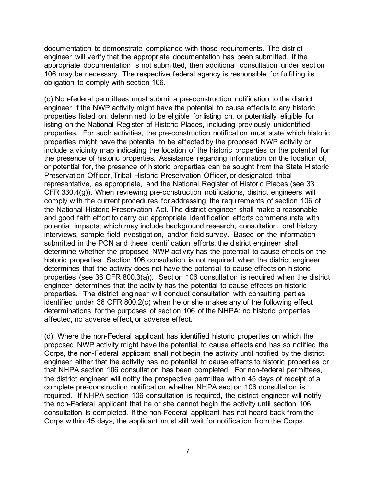documentation to demonstrate compliance with those requirements. The district engineer will verify that the appropriate documentation has been submitted. If the appropriate documentation is not submitted, then additional consultation under section 106 may be necessary. The respective federal agency is responsible for fulfilling its obligation to comply with section 106.

(c) Non-federal permittees must submit a pre-construction notification to the district engineer if the NWP activity might have the potential to cause effects to any historic properties listed on, determined to be eligible for listing on, or potentially eligible for listing on the National Register of Historic Places, including previously unidentified properties. For such activities, the pre-construction notification must state which historic properties might have the potential to be affected by the proposed NWP activity or include a vicinity map indicating the location of the historic properties or the potential for the presence of historic properties. Assistance regarding information on the location of, or potential for, the presence of historic properties can be sought from the State Historic Preservation Officer, Tribal Historic Preservation Officer, or designated tribal representative, as appropriate, and the National Register of Historic Places (see 33 CFR 330.4(g)). When reviewing pre-construction notifications, district engineers will comply with the current procedures for addressing the requirements of section 106 of the National Historic Preservation Act. The district engineer shall make a reasonable and good faith effort to carry out appropriate identification efforts commensurate with potential impacts, which may include background research, consultation, oral history interviews, sample field investigation, and/or field survey. Based on the information submitted in the PCN and these identification efforts, the district engineer shall determine whether the proposed NWP activity has the potential to cause effects on the historic properties. Section 106 consultation is not required when the district engineer determines that the activity does not have the potential to cause effects on historic properties (see 36 CFR 800.3(a)). Section 106 consultation is required when the district engineer determines that the activity has the potential to cause effects on historic properties. The district engineer will conduct consultation with consulting parties identified under 36 CFR 800.2(c) when he or she makes any of the following effect determinations for the purposes of section 106 of the NHPA: no historic properties affected, no adverse effect, or adverse effect.

(d) Where the non-Federal applicant has identified historic properties on which the proposed NWP activity might have the potential to cause effects and has so notified the Corps, the non-Federal applicant shall not begin the activity until notified by the district engineer either that the activity has no potential to cause effects to historic properties or that NHPA section 106 consultation has been completed. For non-federal permittees, the district engineer will notify the prospective permittee within 45 days of receipt of a complete pre-construction notification whether NHPA section 106 consultation is required. If NHPA section 106 consultation is required, the district engineer will notify the non-Federal applicant that he or she cannot begin the activity until section 106 consultation is completed. If the non-Federal applicant has not heard back from the Corps within 45 days, the applicant must still wait for notification from the Corps.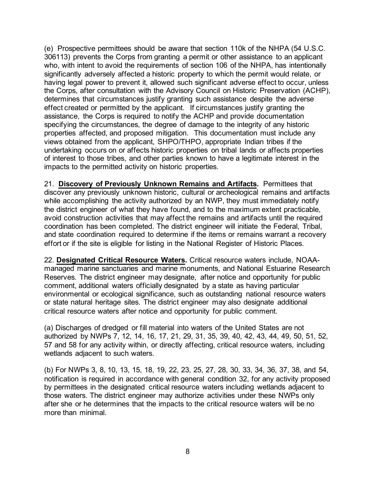(e) Prospective permittees should be aware that section 110k of the NHPA (54 U.S.C. 306113) prevents the Corps from granting a permit or other assistance to an applicant who, with intent to avoid the requirements of section 106 of the NHPA, has intentionally significantly adversely affected a historic property to which the permit would relate, or having legal power to prevent it, allowed such significant adverse effect to occur, unless the Corps, after consultation with the Advisory Council on Historic Preservation (ACHP), determines that circumstances justify granting such assistance despite the adverse effect created or permitted by the applicant. If circumstances justify granting the assistance, the Corps is required to notify the ACHP and provide documentation specifying the circumstances, the degree of damage to the integrity of any historic properties affected, and proposed mitigation. This documentation must include any views obtained from the applicant, SHPO/THPO, appropriate Indian tribes if the undertaking occurs on or affects historic properties on tribal lands or affects properties of interest to those tribes, and other parties known to have a legitimate interest in the impacts to the permitted activity on historic properties.

21. **Discovery of Previously Unknown Remains and Artifacts.** Permittees that discover any previously unknown historic, cultural or archeological remains and artifacts while accomplishing the activity authorized by an NWP, they must immediately notify the district engineer of what they have found, and to the maximum extent practicable, avoid construction activities that may affect the remains and artifacts until the required coordination has been completed. The district engineer will initiate the Federal, Tribal, and state coordination required to determine if the items or remains warrant a recovery effort or if the site is eligible for listing in the National Register of Historic Places.

22. **Designated Critical Resource Waters.** Critical resource waters include, NOAAmanaged marine sanctuaries and marine monuments, and National Estuarine Research Reserves. The district engineer may designate, after notice and opportunity for public comment, additional waters officially designated by a state as having particular environmental or ecological significance, such as outstanding national resource waters or state natural heritage sites. The district engineer may also designate additional critical resource waters after notice and opportunity for public comment.

(a) Discharges of dredged or fill material into waters of the United States are not authorized by NWPs 7, 12, 14, 16, 17, 21, 29, 31, 35, 39, 40, 42, 43, 44, 49, 50, 51, 52, 57 and 58 for any activity within, or directly affecting, critical resource waters, including wetlands adjacent to such waters.

(b) For NWPs 3, 8, 10, 13, 15, 18, 19, 22, 23, 25, 27, 28, 30, 33, 34, 36, 37, 38, and 54, notification is required in accordance with general condition 32, for any activity proposed by permittees in the designated critical resource waters including wetlands adjacent to those waters. The district engineer may authorize activities under these NWPs only after she or he determines that the impacts to the critical resource waters will be no more than minimal.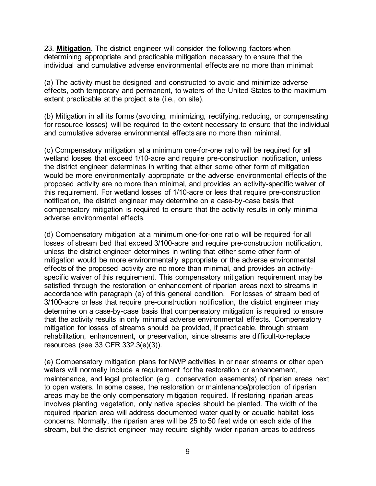23. **Mitigation.** The district engineer will consider the following factors when determining appropriate and practicable mitigation necessary to ensure that the individual and cumulative adverse environmental effects are no more than minimal:

(a) The activity must be designed and constructed to avoid and minimize adverse effects, both temporary and permanent, to waters of the United States to the maximum extent practicable at the project site (i.e., on site).

(b) Mitigation in all its forms (avoiding, minimizing, rectifying, reducing, or compensating for resource losses) will be required to the extent necessary to ensure that the individual and cumulative adverse environmental effects are no more than minimal.

(c) Compensatory mitigation at a minimum one-for-one ratio will be required for all wetland losses that exceed 1/10-acre and require pre-construction notification, unless the district engineer determines in writing that either some other form of mitigation would be more environmentally appropriate or the adverse environmental effects of the proposed activity are no more than minimal, and provides an activity-specific waiver of this requirement. For wetland losses of 1/10-acre or less that require pre-construction notification, the district engineer may determine on a case-by-case basis that compensatory mitigation is required to ensure that the activity results in only minimal adverse environmental effects.

(d) Compensatory mitigation at a minimum one-for-one ratio will be required for all losses of stream bed that exceed 3/100-acre and require pre-construction notification, unless the district engineer determines in writing that either some other form of mitigation would be more environmentally appropriate or the adverse environmental effects of the proposed activity are no more than minimal, and provides an activityspecific waiver of this requirement. This compensatory mitigation requirement may be satisfied through the restoration or enhancement of riparian areas next to streams in accordance with paragraph (e) of this general condition. For losses of stream bed of 3/100-acre or less that require pre-construction notification, the district engineer may determine on a case-by-case basis that compensatory mitigation is required to ensure that the activity results in only minimal adverse environmental effects. Compensatory mitigation for losses of streams should be provided, if practicable, through stream rehabilitation, enhancement, or preservation, since streams are difficult-to-replace resources (see 33 CFR 332.3(e)(3)).

(e) Compensatory mitigation plans for NWP activities in or near streams or other open waters will normally include a requirement for the restoration or enhancement, maintenance, and legal protection (e.g., conservation easements) of riparian areas next to open waters. In some cases, the restoration or maintenance/protection of riparian areas may be the only compensatory mitigation required. If restoring riparian areas involves planting vegetation, only native species should be planted. The width of the required riparian area will address documented water quality or aquatic habitat loss concerns. Normally, the riparian area will be 25 to 50 feet wide on each side of the stream, but the district engineer may require slightly wider riparian areas to address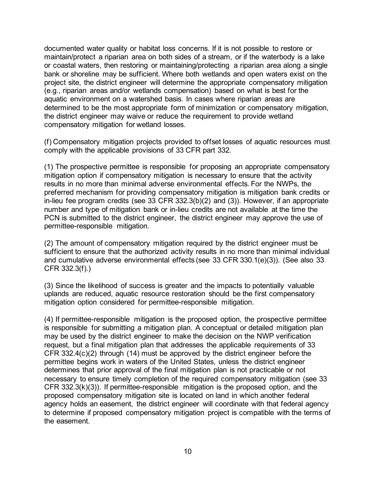documented water quality or habitat loss concerns. If it is not possible to restore or maintain/protect a riparian area on both sides of a stream, or if the waterbody is a lake or coastal waters, then restoring or maintaining/protecting a riparian area along a single bank or shoreline may be sufficient. Where both wetlands and open waters exist on the project site, the district engineer will determine the appropriate compensatory mitigation (e.g., riparian areas and/or wetlands compensation) based on what is best for the aquatic environment on a watershed basis. In cases where riparian areas are determined to be the most appropriate form of minimization or compensatory mitigation, the district engineer may waive or reduce the requirement to provide wetland compensatory mitigation for wetland losses.

(f) Compensatory mitigation projects provided to offset losses of aquatic resources must comply with the applicable provisions of 33 CFR part 332.

(1) The prospective permittee is responsible for proposing an appropriate compensatory mitigation option if compensatory mitigation is necessary to ensure that the activity results in no more than minimal adverse environmental effects. For the NWPs, the preferred mechanism for providing compensatory mitigation is mitigation bank credits or in-lieu fee program credits (see 33 CFR 332.3(b)(2) and (3)). However, if an appropriate number and type of mitigation bank or in-lieu credits are not available at the time the PCN is submitted to the district engineer, the district engineer may approve the use of permittee-responsible mitigation.

(2) The amount of compensatory mitigation required by the district engineer must be sufficient to ensure that the authorized activity results in no more than minimal individual and cumulative adverse environmental effects (see 33 CFR 330.1(e)(3)). (See also 33 CFR 332.3(f).)

(3) Since the likelihood of success is greater and the impacts to potentially valuable uplands are reduced, aquatic resource restoration should be the first compensatory mitigation option considered for permittee-responsible mitigation.

(4) If permittee-responsible mitigation is the proposed option, the prospective permittee is responsible for submitting a mitigation plan. A conceptual or detailed mitigation plan may be used by the district engineer to make the decision on the NWP verification request, but a final mitigation plan that addresses the applicable requirements of 33 CFR 332.4(c)(2) through (14) must be approved by the district engineer before the permittee begins work in waters of the United States, unless the district engineer determines that prior approval of the final mitigation plan is not practicable or not necessary to ensure timely completion of the required compensatory mitigation (see 33 CFR 332.3(k)(3)). If permittee-responsible mitigation is the proposed option, and the proposed compensatory mitigation site is located on land in which another federal agency holds an easement, the district engineer will coordinate with that federal agency to determine if proposed compensatory mitigation project is compatible with the terms of the easement.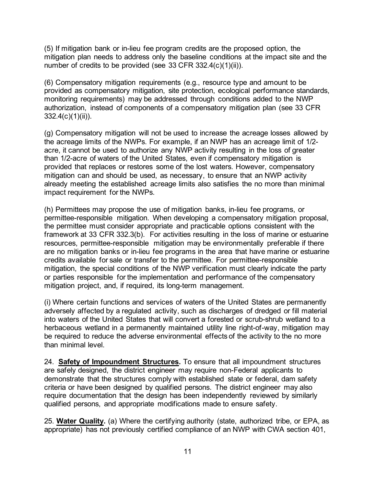(5) If mitigation bank or in-lieu fee program credits are the proposed option, the mitigation plan needs to address only the baseline conditions at the impact site and the number of credits to be provided (see 33 CFR 332.4(c)(1)(ii)).

(6) Compensatory mitigation requirements (e.g., resource type and amount to be provided as compensatory mitigation, site protection, ecological performance standards, monitoring requirements) may be addressed through conditions added to the NWP authorization, instead of components of a compensatory mitigation plan (see 33 CFR 332.4(c)(1)(ii)).

(g) Compensatory mitigation will not be used to increase the acreage losses allowed by the acreage limits of the NWPs. For example, if an NWP has an acreage limit of 1/2 acre, it cannot be used to authorize any NWP activity resulting in the loss of greater than 1/2-acre of waters of the United States, even if compensatory mitigation is provided that replaces or restores some of the lost waters. However, compensatory mitigation can and should be used, as necessary, to ensure that an NWP activity already meeting the established acreage limits also satisfies the no more than minimal impact requirement for the NWPs.

(h) Permittees may propose the use of mitigation banks, in-lieu fee programs, or permittee-responsible mitigation. When developing a compensatory mitigation proposal, the permittee must consider appropriate and practicable options consistent with the framework at 33 CFR 332.3(b). For activities resulting in the loss of marine or estuarine resources, permittee-responsible mitigation may be environmentally preferable if there are no mitigation banks or in-lieu fee programs in the area that have marine or estuarine credits available for sale or transfer to the permittee. For permittee-responsible mitigation, the special conditions of the NWP verification must clearly indicate the party or parties responsible for the implementation and performance of the compensatory mitigation project, and, if required, its long-term management.

(i) Where certain functions and services of waters of the United States are permanently adversely affected by a regulated activity, such as discharges of dredged or fill material into waters of the United States that will convert a forested or scrub-shrub wetland to a herbaceous wetland in a permanently maintained utility line right-of-way, mitigation may be required to reduce the adverse environmental effects of the activity to the no more than minimal level.

24. **Safety of Impoundment Structures.** To ensure that all impoundment structures are safely designed, the district engineer may require non-Federal applicants to demonstrate that the structures comply with established state or federal, dam safety criteria or have been designed by qualified persons. The district engineer may also require documentation that the design has been independently reviewed by similarly qualified persons, and appropriate modifications made to ensure safety.

25. **Water Quality.** (a) Where the certifying authority (state, authorized tribe, or EPA, as appropriate) has not previously certified compliance of an NWP with CWA section 401,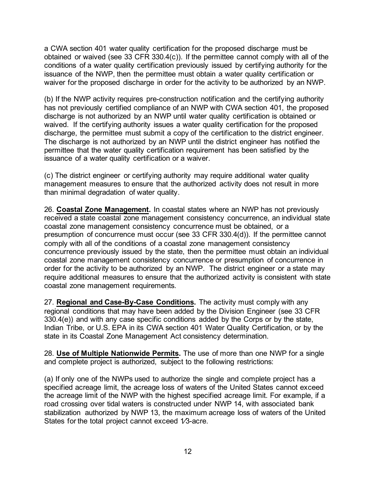a CWA section 401 water quality certification for the proposed discharge must be obtained or waived (see 33 CFR 330.4(c)). If the permittee cannot comply with all of the conditions of a water quality certification previously issued by certifying authority for the issuance of the NWP, then the permittee must obtain a water quality certification or waiver for the proposed discharge in order for the activity to be authorized by an NWP.

(b) If the NWP activity requires pre-construction notification and the certifying authority has not previously certified compliance of an NWP with CWA section 401, the proposed discharge is not authorized by an NWP until water quality certification is obtained or waived. If the certifying authority issues a water quality certification for the proposed discharge, the permittee must submit a copy of the certification to the district engineer. The discharge is not authorized by an NWP until the district engineer has notified the permittee that the water quality certification requirement has been satisfied by the issuance of a water quality certification or a waiver.

(c) The district engineer or certifying authority may require additional water quality management measures to ensure that the authorized activity does not result in more than minimal degradation of water quality.

26. **Coastal Zone Management.** In coastal states where an NWP has not previously received a state coastal zone management consistency concurrence, an individual state coastal zone management consistency concurrence must be obtained, or a presumption of concurrence must occur (see 33 CFR 330.4(d)). If the permittee cannot comply with all of the conditions of a coastal zone management consistency concurrence previously issued by the state, then the permittee must obtain an individual coastal zone management consistency concurrence or presumption of concurrence in order for the activity to be authorized by an NWP. The district engineer or a state may require additional measures to ensure that the authorized activity is consistent with state coastal zone management requirements.

27. **Regional and Case-By-Case Conditions.** The activity must comply with any regional conditions that may have been added by the Division Engineer (see 33 CFR 330.4(e)) and with any case specific conditions added by the Corps or by the state, Indian Tribe, or U.S. EPA in its CWA section 401 Water Quality Certification, or by the state in its Coastal Zone Management Act consistency determination.

28. **Use of Multiple Nationwide Permits.** The use of more than one NWP for a single and complete project is authorized, subject to the following restrictions:

(a) If only one of the NWPs used to authorize the single and complete project has a specified acreage limit, the acreage loss of waters of the United States cannot exceed the acreage limit of the NWP with the highest specified acreage limit. For example, if a road crossing over tidal waters is constructed under NWP 14, with associated bank stabilization authorized by NWP 13, the maximum acreage loss of waters of the United States for the total project cannot exceed  $\sqrt{2}$ -acre.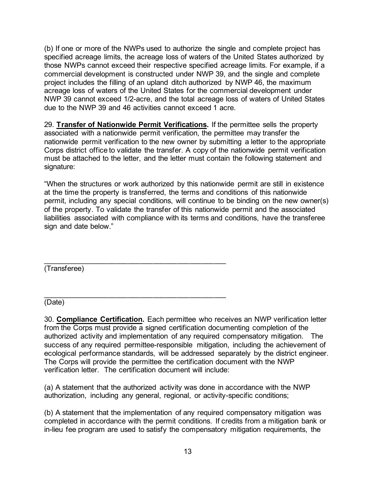(b) If one or more of the NWPs used to authorize the single and complete project has specified acreage limits, the acreage loss of waters of the United States authorized by those NWPs cannot exceed their respective specified acreage limits. For example, if a commercial development is constructed under NWP 39, and the single and complete project includes the filling of an upland ditch authorized by NWP 46, the maximum acreage loss of waters of the United States for the commercial development under NWP 39 cannot exceed 1/2-acre, and the total acreage loss of waters of United States due to the NWP 39 and 46 activities cannot exceed 1 acre.

29. **Transfer of Nationwide Permit Verifications.** If the permittee sells the property associated with a nationwide permit verification, the permittee may transfer the nationwide permit verification to the new owner by submitting a letter to the appropriate Corps district office to validate the transfer. A copy of the nationwide permit verification must be attached to the letter, and the letter must contain the following statement and signature:

"When the structures or work authorized by this nationwide permit are still in existence at the time the property is transferred, the terms and conditions of this nationwide permit, including any special conditions, will continue to be binding on the new owner(s) of the property. To validate the transfer of this nationwide permit and the associated liabilities associated with compliance with its terms and conditions, have the transferee sign and date below."

\_\_\_\_\_\_\_\_\_\_\_\_\_\_\_\_\_\_\_\_\_\_\_\_\_\_\_\_\_\_\_\_\_\_\_\_\_\_\_\_\_\_\_\_\_ (Transferee)

\_\_\_\_\_\_\_\_\_\_\_\_\_\_\_\_\_\_\_\_\_\_\_\_\_\_\_\_\_\_\_\_\_\_\_\_\_\_\_\_\_\_\_\_\_ (Date)

30. **Compliance Certification.** Each permittee who receives an NWP verification letter from the Corps must provide a signed certification documenting completion of the authorized activity and implementation of any required compensatory mitigation. The success of any required permittee-responsible mitigation, including the achievement of ecological performance standards, will be addressed separately by the district engineer. The Corps will provide the permittee the certification document with the NWP verification letter. The certification document will include:

(a) A statement that the authorized activity was done in accordance with the NWP authorization, including any general, regional, or activity-specific conditions;

(b) A statement that the implementation of any required compensatory mitigation was completed in accordance with the permit conditions. If credits from a mitigation bank or in-lieu fee program are used to satisfy the compensatory mitigation requirements, the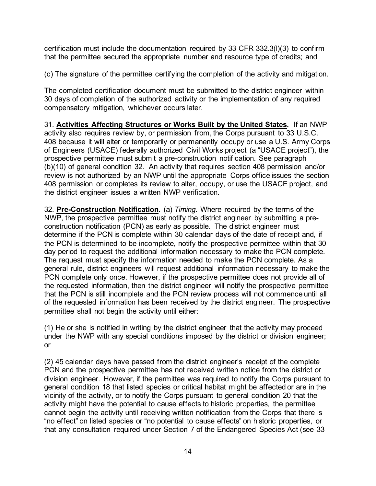certification must include the documentation required by 33 CFR 332.3(l)(3) to confirm that the permittee secured the appropriate number and resource type of credits; and

(c) The signature of the permittee certifying the completion of the activity and mitigation.

The completed certification document must be submitted to the district engineer within 30 days of completion of the authorized activity or the implementation of any required compensatory mitigation, whichever occurs later.

31. **Activities Affecting Structures or Works Built by the United States.** If an NWP activity also requires review by, or permission from, the Corps pursuant to 33 U.S.C. 408 because it will alter or temporarily or permanently occupy or use a U.S. Army Corps of Engineers (USACE) federally authorized Civil Works project (a "USACE project"), the prospective permittee must submit a pre-construction notification. See paragraph (b)(10) of general condition 32. An activity that requires section 408 permission and/or review is not authorized by an NWP until the appropriate Corps office issues the section 408 permission or completes its review to alter, occupy, or use the USACE project, and the district engineer issues a written NWP verification.

32. **Pre-Construction Notification.** (a) *Timing*. Where required by the terms of the NWP, the prospective permittee must notify the district engineer by submitting a preconstruction notification (PCN) as early as possible. The district engineer must determine if the PCN is complete within 30 calendar days of the date of receipt and, if the PCN is determined to be incomplete, notify the prospective permittee within that 30 day period to request the additional information necessary to make the PCN complete. The request must specify the information needed to make the PCN complete. As a general rule, district engineers will request additional information necessary to make the PCN complete only once. However, if the prospective permittee does not provide all of the requested information, then the district engineer will notify the prospective permittee that the PCN is still incomplete and the PCN review process will not commence until all of the requested information has been received by the district engineer. The prospective permittee shall not begin the activity until either:

(1) He or she is notified in writing by the district engineer that the activity may proceed under the NWP with any special conditions imposed by the district or division engineer; or

(2) 45 calendar days have passed from the district engineer's receipt of the complete PCN and the prospective permittee has not received written notice from the district or division engineer. However, if the permittee was required to notify the Corps pursuant to general condition 18 that listed species or critical habitat might be affected or are in the vicinity of the activity, or to notify the Corps pursuant to general condition 20 that the activity might have the potential to cause effects to historic properties, the permittee cannot begin the activity until receiving written notification from the Corps that there is "no effect" on listed species or "no potential to cause effects" on historic properties, or that any consultation required under Section 7 of the Endangered Species Act (see 33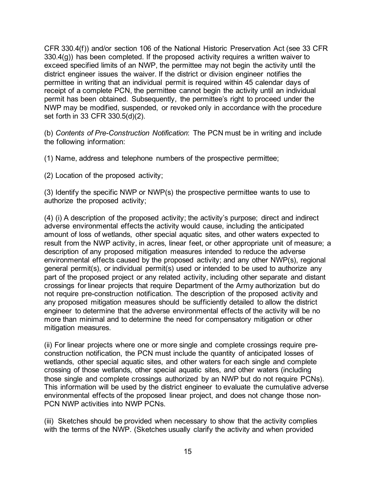CFR 330.4(f)) and/or section 106 of the National Historic Preservation Act (see 33 CFR 330.4(g)) has been completed. If the proposed activity requires a written waiver to exceed specified limits of an NWP, the permittee may not begin the activity until the district engineer issues the waiver. If the district or division engineer notifies the permittee in writing that an individual permit is required within 45 calendar days of receipt of a complete PCN, the permittee cannot begin the activity until an individual permit has been obtained. Subsequently, the permittee's right to proceed under the NWP may be modified, suspended, or revoked only in accordance with the procedure set forth in 33 CFR 330.5(d)(2).

(b) *Contents of Pre-Construction Notification*: The PCN must be in writing and include the following information:

(1) Name, address and telephone numbers of the prospective permittee;

(2) Location of the proposed activity;

(3) Identify the specific NWP or NWP(s) the prospective permittee wants to use to authorize the proposed activity;

(4) (i) A description of the proposed activity; the activity's purpose; direct and indirect adverse environmental effects the activity would cause, including the anticipated amount of loss of wetlands, other special aquatic sites, and other waters expected to result from the NWP activity, in acres, linear feet, or other appropriate unit of measure; a description of any proposed mitigation measures intended to reduce the adverse environmental effects caused by the proposed activity; and any other NWP(s), regional general permit(s), or individual permit(s) used or intended to be used to authorize any part of the proposed project or any related activity, including other separate and distant crossings for linear projects that require Department of the Army authorization but do not require pre-construction notification. The description of the proposed activity and any proposed mitigation measures should be sufficiently detailed to allow the district engineer to determine that the adverse environmental effects of the activity will be no more than minimal and to determine the need for compensatory mitigation or other mitigation measures.

(ii) For linear projects where one or more single and complete crossings require preconstruction notification, the PCN must include the quantity of anticipated losses of wetlands, other special aquatic sites, and other waters for each single and complete crossing of those wetlands, other special aquatic sites, and other waters (including those single and complete crossings authorized by an NWP but do not require PCNs). This information will be used by the district engineer to evaluate the cumulative adverse environmental effects of the proposed linear project, and does not change those non-PCN NWP activities into NWP PCNs.

(iii) Sketches should be provided when necessary to show that the activity complies with the terms of the NWP. (Sketches usually clarify the activity and when provided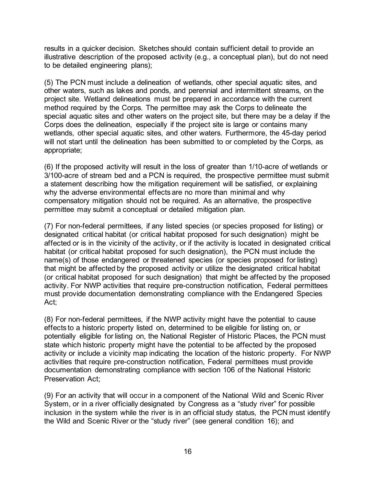results in a quicker decision. Sketches should contain sufficient detail to provide an illustrative description of the proposed activity (e.g., a conceptual plan), but do not need to be detailed engineering plans);

(5) The PCN must include a delineation of wetlands, other special aquatic sites, and other waters, such as lakes and ponds, and perennial and intermittent streams, on the project site. Wetland delineations must be prepared in accordance with the current method required by the Corps. The permittee may ask the Corps to delineate the special aquatic sites and other waters on the project site, but there may be a delay if the Corps does the delineation, especially if the project site is large or contains many wetlands, other special aquatic sites, and other waters. Furthermore, the 45-day period will not start until the delineation has been submitted to or completed by the Corps, as appropriate;

(6) If the proposed activity will result in the loss of greater than 1/10-acre of wetlands or 3/100-acre of stream bed and a PCN is required, the prospective permittee must submit a statement describing how the mitigation requirement will be satisfied, or explaining why the adverse environmental effects are no more than minimal and why compensatory mitigation should not be required. As an alternative, the prospective permittee may submit a conceptual or detailed mitigation plan.

(7) For non-federal permittees, if any listed species (or species proposed for listing) or designated critical habitat (or critical habitat proposed for such designation) might be affected or is in the vicinity of the activity, or if the activity is located in designated critical habitat (or critical habitat proposed for such designation), the PCN must include the name(s) of those endangered or threatened species (or species proposed for listing) that might be affected by the proposed activity or utilize the designated critical habitat (or critical habitat proposed for such designation) that might be affected by the proposed activity. For NWP activities that require pre-construction notification, Federal permittees must provide documentation demonstrating compliance with the Endangered Species Act;

(8) For non-federal permittees, if the NWP activity might have the potential to cause effects to a historic property listed on, determined to be eligible for listing on, or potentially eligible for listing on, the National Register of Historic Places, the PCN must state which historic property might have the potential to be affected by the proposed activity or include a vicinity map indicating the location of the historic property. For NWP activities that require pre-construction notification, Federal permittees must provide documentation demonstrating compliance with section 106 of the National Historic Preservation Act;

(9) For an activity that will occur in a component of the National Wild and Scenic River System, or in a river officially designated by Congress as a "study river" for possible inclusion in the system while the river is in an official study status, the PCN must identify the Wild and Scenic River or the "study river" (see general condition 16); and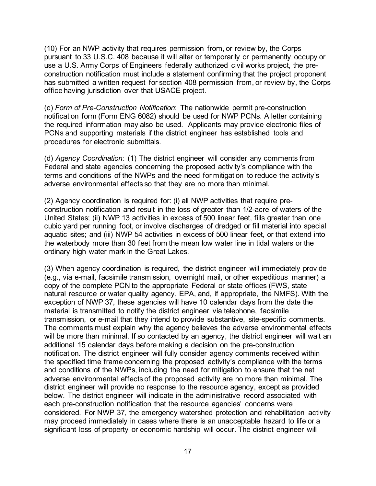(10) For an NWP activity that requires permission from, or review by, the Corps pursuant to 33 U.S.C. 408 because it will alter or temporarily or permanently occupy or use a U.S. Army Corps of Engineers federally authorized civil works project, the preconstruction notification must include a statement confirming that the project proponent has submitted a written request for section 408 permission from, or review by, the Corps office having jurisdiction over that USACE project.

(c) *Form of Pre-Construction Notification*: The nationwide permit pre-construction notification form (Form ENG 6082) should be used for NWP PCNs. A letter containing the required information may also be used. Applicants may provide electronic files of PCNs and supporting materials if the district engineer has established tools and procedures for electronic submittals.

(d) *Agency Coordination*: (1) The district engineer will consider any comments from Federal and state agencies concerning the proposed activity's compliance with the terms and conditions of the NWPs and the need for mitigation to reduce the activity's adverse environmental effects so that they are no more than minimal.

(2) Agency coordination is required for: (i) all NWP activities that require preconstruction notification and result in the loss of greater than 1/2-acre of waters of the United States; (ii) NWP 13 activities in excess of 500 linear feet, fills greater than one cubic yard per running foot, or involve discharges of dredged or fill material into special aquatic sites; and (iii) NWP 54 activities in excess of 500 linear feet, or that extend into the waterbody more than 30 feet from the mean low water line in tidal waters or the ordinary high water mark in the Great Lakes.

(3) When agency coordination is required, the district engineer will immediately provide (e.g., via e-mail, facsimile transmission, overnight mail, or other expeditious manner) a copy of the complete PCN to the appropriate Federal or state offices (FWS, state natural resource or water quality agency, EPA, and, if appropriate, the NMFS). With the exception of NWP 37, these agencies will have 10 calendar days from the date the material is transmitted to notify the district engineer via telephone, facsimile transmission, or e-mail that they intend to provide substantive, site-specific comments. The comments must explain why the agency believes the adverse environmental effects will be more than minimal. If so contacted by an agency, the district engineer will wait an additional 15 calendar days before making a decision on the pre-construction notification. The district engineer will fully consider agency comments received within the specified time frame concerning the proposed activity's compliance with the terms and conditions of the NWPs, including the need for mitigation to ensure that the net adverse environmental effects of the proposed activity are no more than minimal. The district engineer will provide no response to the resource agency, except as provided below. The district engineer will indicate in the administrative record associated with each pre-construction notification that the resource agencies' concerns were considered. For NWP 37, the emergency watershed protection and rehabilitation activity may proceed immediately in cases where there is an unacceptable hazard to life or a significant loss of property or economic hardship will occur. The district engineer will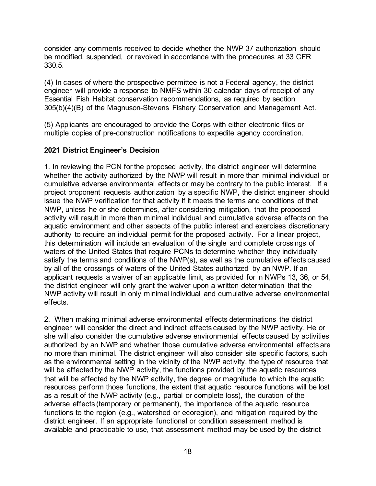consider any comments received to decide whether the NWP 37 authorization should be modified, suspended, or revoked in accordance with the procedures at 33 CFR 330.5.

(4) In cases of where the prospective permittee is not a Federal agency, the district engineer will provide a response to NMFS within 30 calendar days of receipt of any Essential Fish Habitat conservation recommendations, as required by section 305(b)(4)(B) of the Magnuson-Stevens Fishery Conservation and Management Act.

(5) Applicants are encouraged to provide the Corps with either electronic files or multiple copies of pre-construction notifications to expedite agency coordination.

# **2021 District Engineer's Decision**

1. In reviewing the PCN for the proposed activity, the district engineer will determine whether the activity authorized by the NWP will result in more than minimal individual or cumulative adverse environmental effects or may be contrary to the public interest. If a project proponent requests authorization by a specific NWP, the district engineer should issue the NWP verification for that activity if it meets the terms and conditions of that NWP, unless he or she determines, after considering mitigation, that the proposed activity will result in more than minimal individual and cumulative adverse effects on the aquatic environment and other aspects of the public interest and exercises discretionary authority to require an individual permit for the proposed activity. For a linear project, this determination will include an evaluation of the single and complete crossings of waters of the United States that require PCNs to determine whether they individually satisfy the terms and conditions of the NWP(s), as well as the cumulative effects caused by all of the crossings of waters of the United States authorized by an NWP. If an applicant requests a waiver of an applicable limit, as provided for in NWPs 13, 36, or 54, the district engineer will only grant the waiver upon a written determination that the NWP activity will result in only minimal individual and cumulative adverse environmental effects.

2. When making minimal adverse environmental effects determinations the district engineer will consider the direct and indirect effects caused by the NWP activity. He or she will also consider the cumulative adverse environmental effects caused by activities authorized by an NWP and whether those cumulative adverse environmental effects are no more than minimal. The district engineer will also consider site specific factors, such as the environmental setting in the vicinity of the NWP activity, the type of resource that will be affected by the NWP activity, the functions provided by the aquatic resources that will be affected by the NWP activity, the degree or magnitude to which the aquatic resources perform those functions, the extent that aquatic resource functions will be lost as a result of the NWP activity (e.g., partial or complete loss), the duration of the adverse effects (temporary or permanent), the importance of the aquatic resource functions to the region (e.g., watershed or ecoregion), and mitigation required by the district engineer. If an appropriate functional or condition assessment method is available and practicable to use, that assessment method may be used by the district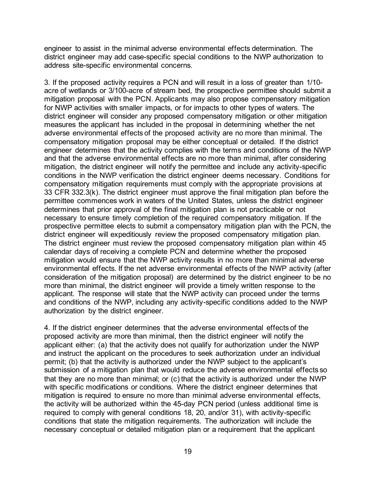engineer to assist in the minimal adverse environmental effects determination. The district engineer may add case-specific special conditions to the NWP authorization to address site-specific environmental concerns.

3. If the proposed activity requires a PCN and will result in a loss of greater than 1/10 acre of wetlands or 3/100-acre of stream bed, the prospective permittee should submit a mitigation proposal with the PCN. Applicants may also propose compensatory mitigation for NWP activities with smaller impacts, or for impacts to other types of waters. The district engineer will consider any proposed compensatory mitigation or other mitigation measures the applicant has included in the proposal in determining whether the net adverse environmental effects of the proposed activity are no more than minimal. The compensatory mitigation proposal may be either conceptual or detailed. If the district engineer determines that the activity complies with the terms and conditions of the NWP and that the adverse environmental effects are no more than minimal, after considering mitigation, the district engineer will notify the permittee and include any activity-specific conditions in the NWP verification the district engineer deems necessary. Conditions for compensatory mitigation requirements must comply with the appropriate provisions at 33 CFR 332.3(k). The district engineer must approve the final mitigation plan before the permittee commences work in waters of the United States, unless the district engineer determines that prior approval of the final mitigation plan is not practicable or not necessary to ensure timely completion of the required compensatory mitigation. If the prospective permittee elects to submit a compensatory mitigation plan with the PCN, the district engineer will expeditiously review the proposed compensatory mitigation plan. The district engineer must review the proposed compensatory mitigation plan within 45 calendar days of receiving a complete PCN and determine whether the proposed mitigation would ensure that the NWP activity results in no more than minimal adverse environmental effects. If the net adverse environmental effects of the NWP activity (after consideration of the mitigation proposal) are determined by the district engineer to be no more than minimal, the district engineer will provide a timely written response to the applicant. The response will state that the NWP activity can proceed under the terms and conditions of the NWP, including any activity-specific conditions added to the NWP authorization by the district engineer.

4. If the district engineer determines that the adverse environmental effects of the proposed activity are more than minimal, then the district engineer will notify the applicant either: (a) that the activity does not qualify for authorization under the NWP and instruct the applicant on the procedures to seek authorization under an individual permit; (b) that the activity is authorized under the NWP subject to the applicant's submission of a mitigation plan that would reduce the adverse environmental effects so that they are no more than minimal; or (c) that the activity is authorized under the NWP with specific modifications or conditions. Where the district engineer determines that mitigation is required to ensure no more than minimal adverse environmental effects, the activity will be authorized within the 45-day PCN period (unless additional time is required to comply with general conditions 18, 20, and/or 31), with activity-specific conditions that state the mitigation requirements. The authorization will include the necessary conceptual or detailed mitigation plan or a requirement that the applicant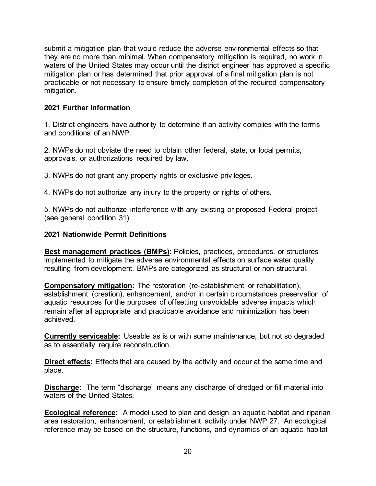submit a mitigation plan that would reduce the adverse environmental effects so that they are no more than minimal. When compensatory mitigation is required, no work in waters of the United States may occur until the district engineer has approved a specific mitigation plan or has determined that prior approval of a final mitigation plan is not practicable or not necessary to ensure timely completion of the required compensatory mitigation.

### **2021 Further Information**

1. District engineers have authority to determine if an activity complies with the terms and conditions of an NWP.

2. NWPs do not obviate the need to obtain other federal, state, or local permits, approvals, or authorizations required by law.

3. NWPs do not grant any property rights or exclusive privileges.

4. NWPs do not authorize any injury to the property or rights of others.

5. NWPs do not authorize interference with any existing or proposed Federal project (see general condition 31).

### **2021 Nationwide Permit Definitions**

**Best management practices (BMPs):** Policies, practices, procedures, or structures implemented to mitigate the adverse environmental effects on surface water quality resulting from development. BMPs are categorized as structural or non-structural.

**Compensatory mitigation:** The restoration (re-establishment or rehabilitation), establishment (creation), enhancement, and/or in certain circumstances preservation of aquatic resources for the purposes of offsetting unavoidable adverse impacts which remain after all appropriate and practicable avoidance and minimization has been achieved.

**Currently serviceable:** Useable as is or with some maintenance, but not so degraded as to essentially require reconstruction.

**Direct effects:** Effects that are caused by the activity and occur at the same time and place.

**Discharge:** The term "discharge" means any discharge of dredged or fill material into waters of the United States.

**Ecological reference:** A model used to plan and design an aquatic habitat and riparian area restoration, enhancement, or establishment activity under NWP 27. An ecological reference may be based on the structure, functions, and dynamics of an aquatic habitat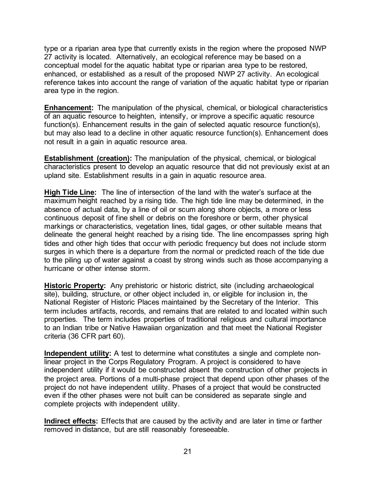type or a riparian area type that currently exists in the region where the proposed NWP 27 activity is located. Alternatively, an ecological reference may be based on a conceptual model for the aquatic habitat type or riparian area type to be restored, enhanced, or established as a result of the proposed NWP 27 activity. An ecological reference takes into account the range of variation of the aquatic habitat type or riparian area type in the region.

**Enhancement:** The manipulation of the physical, chemical, or biological characteristics of an aquatic resource to heighten, intensify, or improve a specific aquatic resource function(s). Enhancement results in the gain of selected aquatic resource function(s), but may also lead to a decline in other aquatic resource function(s). Enhancement does not result in a gain in aquatic resource area.

**Establishment (creation):** The manipulation of the physical, chemical, or biological characteristics present to develop an aquatic resource that did not previously exist at an upland site. Establishment results in a gain in aquatic resource area.

**High Tide Line:** The line of intersection of the land with the water's surface at the maximum height reached by a rising tide. The high tide line may be determined, in the absence of actual data, by a line of oil or scum along shore objects, a more or less continuous deposit of fine shell or debris on the foreshore or berm, other physical markings or characteristics, vegetation lines, tidal gages, or other suitable means that delineate the general height reached by a rising tide. The line encompasses spring high tides and other high tides that occur with periodic frequency but does not include storm surges in which there is a departure from the normal or predicted reach of the tide due to the piling up of water against a coast by strong winds such as those accompanying a hurricane or other intense storm.

**Historic Property:** Any prehistoric or historic district, site (including archaeological site), building, structure, or other object included in, or eligible for inclusion in, the National Register of Historic Places maintained by the Secretary of the Interior. This term includes artifacts, records, and remains that are related to and located within such properties. The term includes properties of traditional religious and cultural importance to an Indian tribe or Native Hawaiian organization and that meet the National Register criteria (36 CFR part 60).

**Independent utility:** A test to determine what constitutes a single and complete nonlinear project in the Corps Regulatory Program. A project is considered to have independent utility if it would be constructed absent the construction of other projects in the project area. Portions of a multi-phase project that depend upon other phases of the project do not have independent utility. Phases of a project that would be constructed even if the other phases were not built can be considered as separate single and complete projects with independent utility.

**Indirect effects:** Effects that are caused by the activity and are later in time or farther removed in distance, but are still reasonably foreseeable.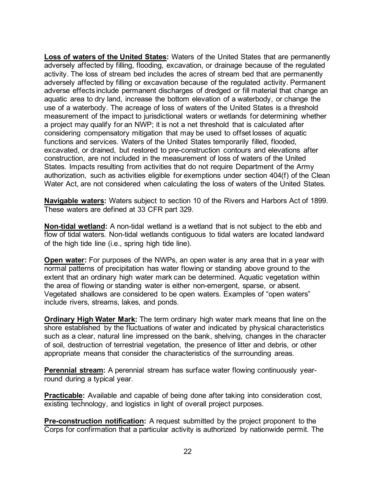**Loss of waters of the United States:** Waters of the United States that are permanently adversely affected by filling, flooding, excavation, or drainage because of the regulated activity. The loss of stream bed includes the acres of stream bed that are permanently adversely affected by filling or excavation because of the regulated activity. Permanent adverse effects include permanent discharges of dredged or fill material that change an aquatic area to dry land, increase the bottom elevation of a waterbody, or change the use of a waterbody. The acreage of loss of waters of the United States is a threshold measurement of the impact to jurisdictional waters or wetlands for determining whether a project may qualify for an NWP; it is not a net threshold that is calculated after considering compensatory mitigation that may be used to offset losses of aquatic functions and services. Waters of the United States temporarily filled, flooded, excavated, or drained, but restored to pre-construction contours and elevations after construction, are not included in the measurement of loss of waters of the United States. Impacts resulting from activities that do not require Department of the Army authorization, such as activities eligible for exemptions under section 404(f) of the Clean Water Act, are not considered when calculating the loss of waters of the United States.

**Navigable waters:** Waters subject to section 10 of the Rivers and Harbors Act of 1899. These waters are defined at 33 CFR part 329.

**Non-tidal wetland:** A non-tidal wetland is a wetland that is not subject to the ebb and flow of tidal waters. Non-tidal wetlands contiguous to tidal waters are located landward of the high tide line (i.e., spring high tide line).

**Open water:** For purposes of the NWPs, an open water is any area that in a year with normal patterns of precipitation has water flowing or standing above ground to the extent that an ordinary high water mark can be determined. Aquatic vegetation within the area of flowing or standing water is either non-emergent, sparse, or absent. Vegetated shallows are considered to be open waters. Examples of "open waters" include rivers, streams, lakes, and ponds.

**Ordinary High Water Mark:** The term ordinary high water mark means that line on the shore established by the fluctuations of water and indicated by physical characteristics such as a clear, natural line impressed on the bank, shelving, changes in the character of soil, destruction of terrestrial vegetation, the presence of litter and debris, or other appropriate means that consider the characteristics of the surrounding areas.

**Perennial stream:** A perennial stream has surface water flowing continuously yearround during a typical year.

**Practicable:** Available and capable of being done after taking into consideration cost, existing technology, and logistics in light of overall project purposes.

**Pre-construction notification:** A request submitted by the project proponent to the Corps for confirmation that a particular activity is authorized by nationwide permit. The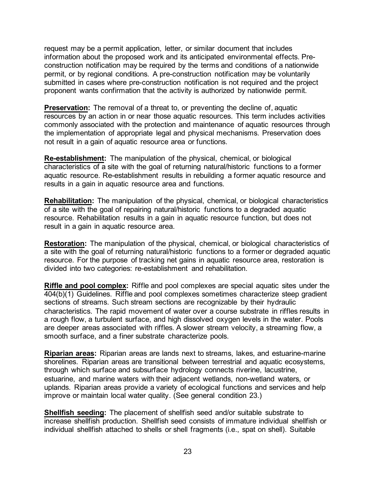request may be a permit application, letter, or similar document that includes information about the proposed work and its anticipated environmental effects. Preconstruction notification may be required by the terms and conditions of a nationwide permit, or by regional conditions. A pre-construction notification may be voluntarily submitted in cases where pre-construction notification is not required and the project proponent wants confirmation that the activity is authorized by nationwide permit.

**Preservation:** The removal of a threat to, or preventing the decline of, aquatic resources by an action in or near those aquatic resources. This term includes activities commonly associated with the protection and maintenance of aquatic resources through the implementation of appropriate legal and physical mechanisms. Preservation does not result in a gain of aquatic resource area or functions.

**Re-establishment:** The manipulation of the physical, chemical, or biological characteristics of a site with the goal of returning natural/historic functions to a former aquatic resource. Re-establishment results in rebuilding a former aquatic resource and results in a gain in aquatic resource area and functions.

**Rehabilitation:** The manipulation of the physical, chemical, or biological characteristics of a site with the goal of repairing natural/historic functions to a degraded aquatic resource. Rehabilitation results in a gain in aquatic resource function, but does not result in a gain in aquatic resource area.

**Restoration:** The manipulation of the physical, chemical, or biological characteristics of a site with the goal of returning natural/historic functions to a former or degraded aquatic resource. For the purpose of tracking net gains in aquatic resource area, restoration is divided into two categories: re-establishment and rehabilitation.

**Riffle and pool complex:** Riffle and pool complexes are special aquatic sites under the 404(b)(1) Guidelines. Riffle and pool complexes sometimes characterize steep gradient sections of streams. Such stream sections are recognizable by their hydraulic characteristics. The rapid movement of water over a course substrate in riffles results in a rough flow, a turbulent surface, and high dissolved oxygen levels in the water. Pools are deeper areas associated with riffles. A slower stream velocity, a streaming flow, a smooth surface, and a finer substrate characterize pools.

**Riparian areas:** Riparian areas are lands next to streams, lakes, and estuarine-marine shorelines. Riparian areas are transitional between terrestrial and aquatic ecosystems, through which surface and subsurface hydrology connects riverine, lacustrine, estuarine, and marine waters with their adjacent wetlands, non-wetland waters, or uplands. Riparian areas provide a variety of ecological functions and services and help improve or maintain local water quality. (See general condition 23.)

**Shellfish seeding:** The placement of shellfish seed and/or suitable substrate to increase shellfish production. Shellfish seed consists of immature individual shellfish or individual shellfish attached to shells or shell fragments (i.e., spat on shell). Suitable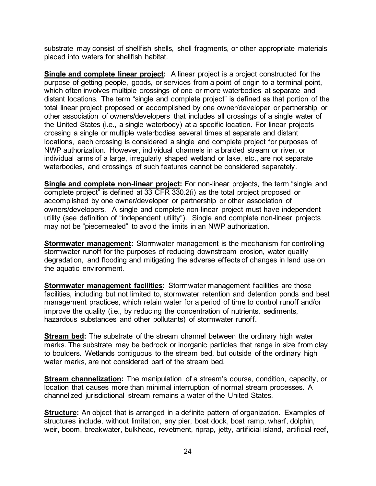substrate may consist of shellfish shells, shell fragments, or other appropriate materials placed into waters for shellfish habitat.

**Single and complete linear project:** A linear project is a project constructed for the purpose of getting people, goods, or services from a point of origin to a terminal point, which often involves multiple crossings of one or more waterbodies at separate and distant locations. The term "single and complete project" is defined as that portion of the total linear project proposed or accomplished by one owner/developer or partnership or other association of owners/developers that includes all crossings of a single water of the United States (i.e., a single waterbody) at a specific location. For linear projects crossing a single or multiple waterbodies several times at separate and distant locations, each crossing is considered a single and complete project for purposes of NWP authorization. However, individual channels in a braided stream or river, or individual arms of a large, irregularly shaped wetland or lake, etc., are not separate waterbodies, and crossings of such features cannot be considered separately.

**Single and complete non-linear project:** For non-linear projects, the term "single and complete project" is defined at 33 CFR 330.2(i) as the total project proposed or accomplished by one owner/developer or partnership or other association of owners/developers. A single and complete non-linear project must have independent utility (see definition of "independent utility"). Single and complete non-linear projects may not be "piecemealed" to avoid the limits in an NWP authorization.

**Stormwater management:** Stormwater management is the mechanism for controlling stormwater runoff for the purposes of reducing downstream erosion, water quality degradation, and flooding and mitigating the adverse effects of changes in land use on the aquatic environment.

**Stormwater management facilities:** Stormwater management facilities are those facilities, including but not limited to, stormwater retention and detention ponds and best management practices, which retain water for a period of time to control runoff and/or improve the quality (i.e., by reducing the concentration of nutrients, sediments, hazardous substances and other pollutants) of stormwater runoff.

**Stream bed:** The substrate of the stream channel between the ordinary high water marks. The substrate may be bedrock or inorganic particles that range in size from clay to boulders. Wetlands contiguous to the stream bed, but outside of the ordinary high water marks, are not considered part of the stream bed.

**Stream channelization:** The manipulation of a stream's course, condition, capacity, or location that causes more than minimal interruption of normal stream processes. A channelized jurisdictional stream remains a water of the United States.

**Structure:** An object that is arranged in a definite pattern of organization. Examples of structures include, without limitation, any pier, boat dock, boat ramp, wharf, dolphin, weir, boom, breakwater, bulkhead, revetment, riprap, jetty, artificial island, artificial reef,